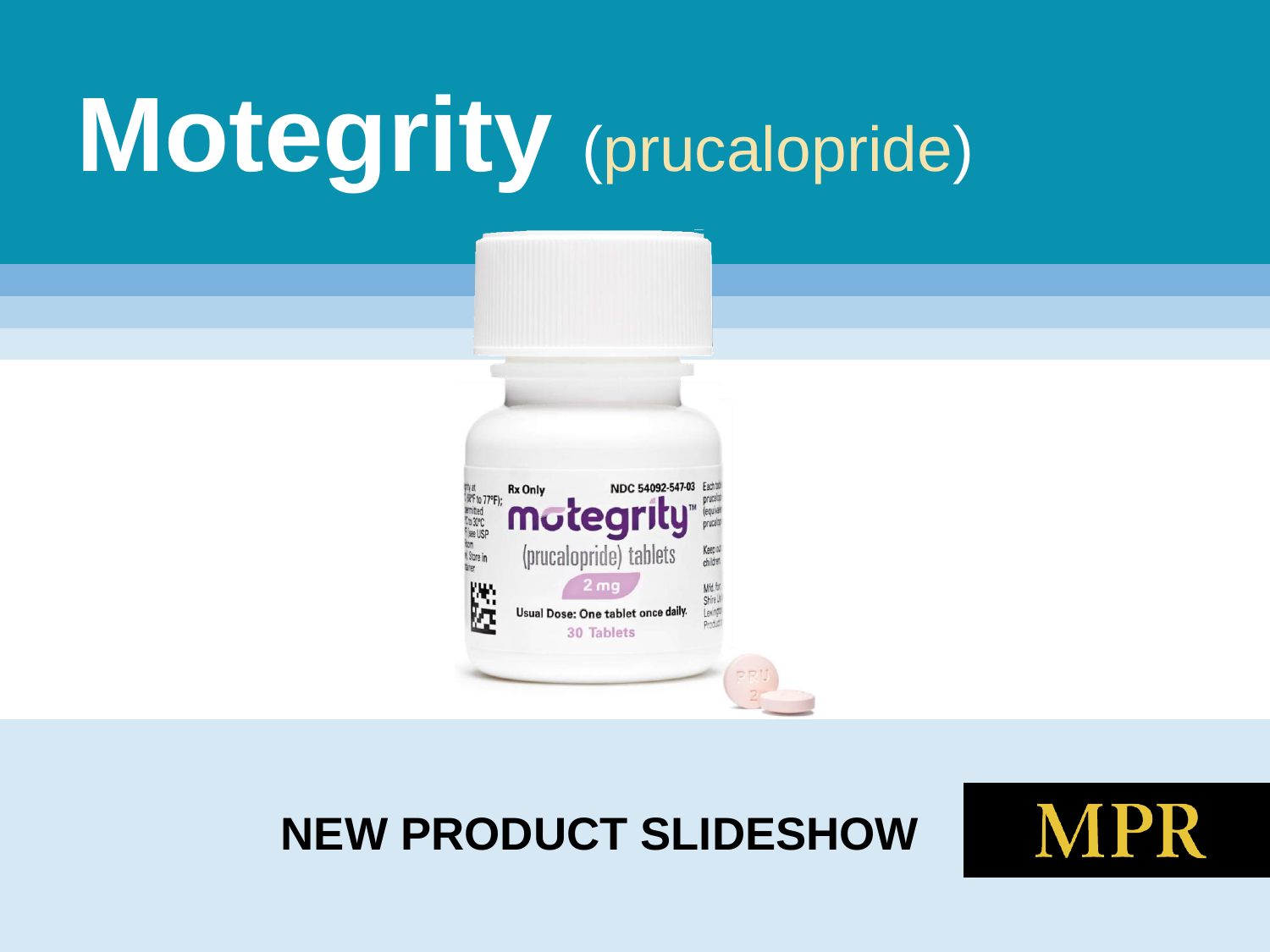# **Motegrity** (prucalopride)



#### **NEW PRODUCT SLIDESHOW**

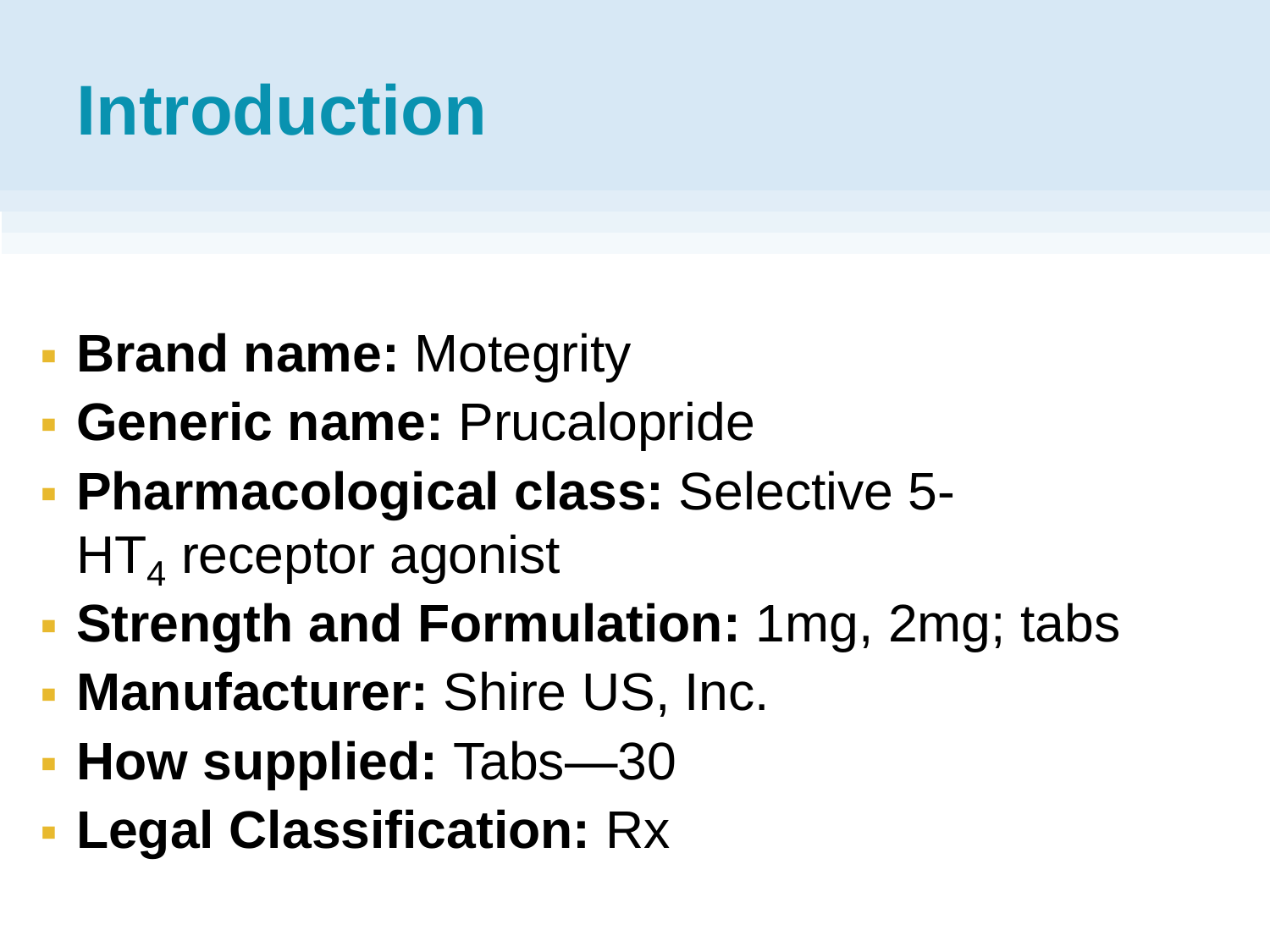# **Introduction**

- **Brand name: Motegrity**
- **Generic name:** Prucalopride
- **Pharmacological class:** Selective 5-  $HT_{4}$  receptor agonist
- **Strength and Formulation:** 1mg, 2mg; tabs
- **Manufacturer:** Shire US, Inc.
- **How supplied: Tabs—30**
- **Legal Classification:** Rx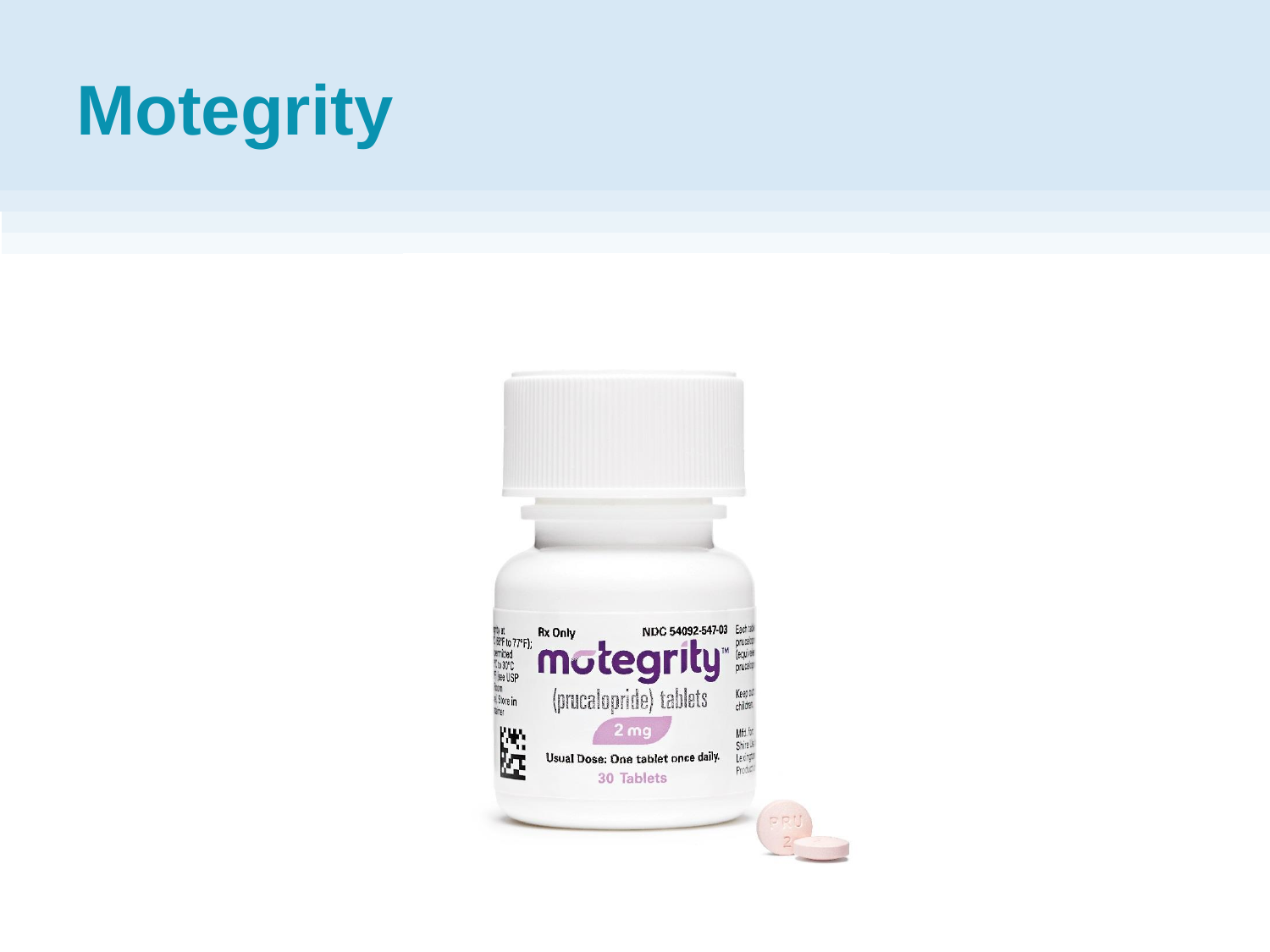# **Motegrity**

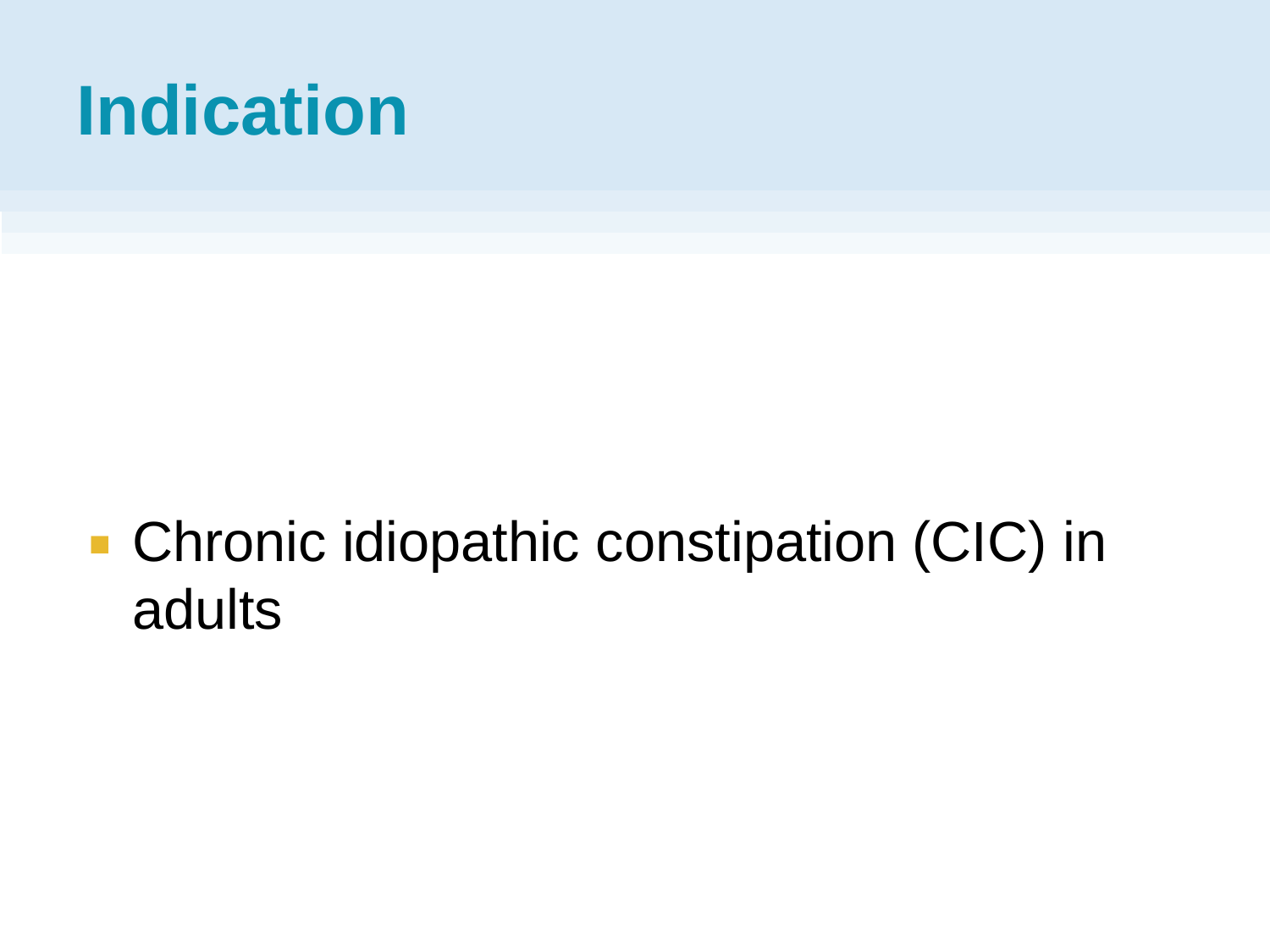### **Indication**

■ Chronic idiopathic constipation (CIC) in adults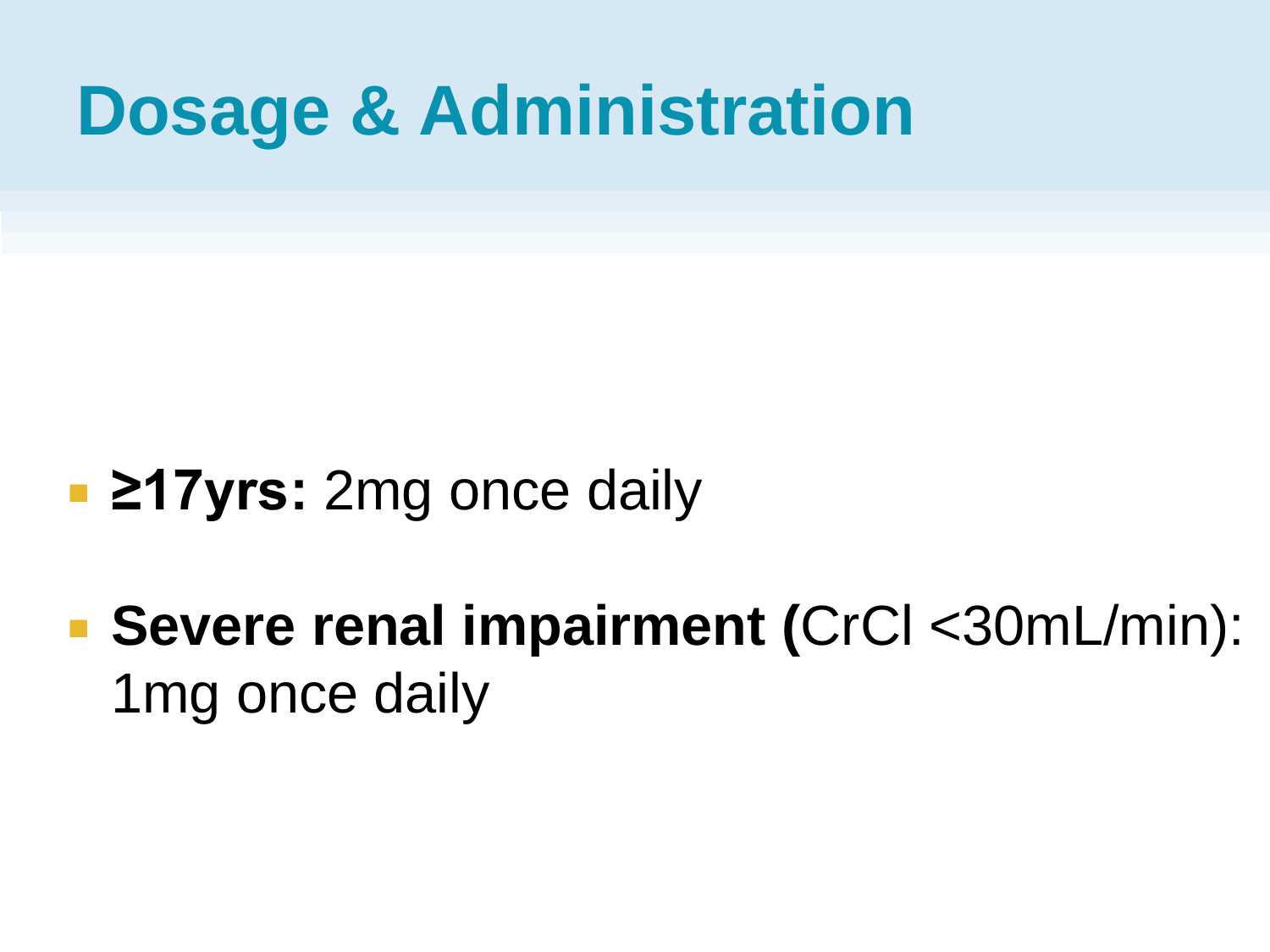#### **Dosage & Administration**

- 217yrs: 2mg once daily
- **Severe renal impairment (**CrCl <30mL/min): 1mg once daily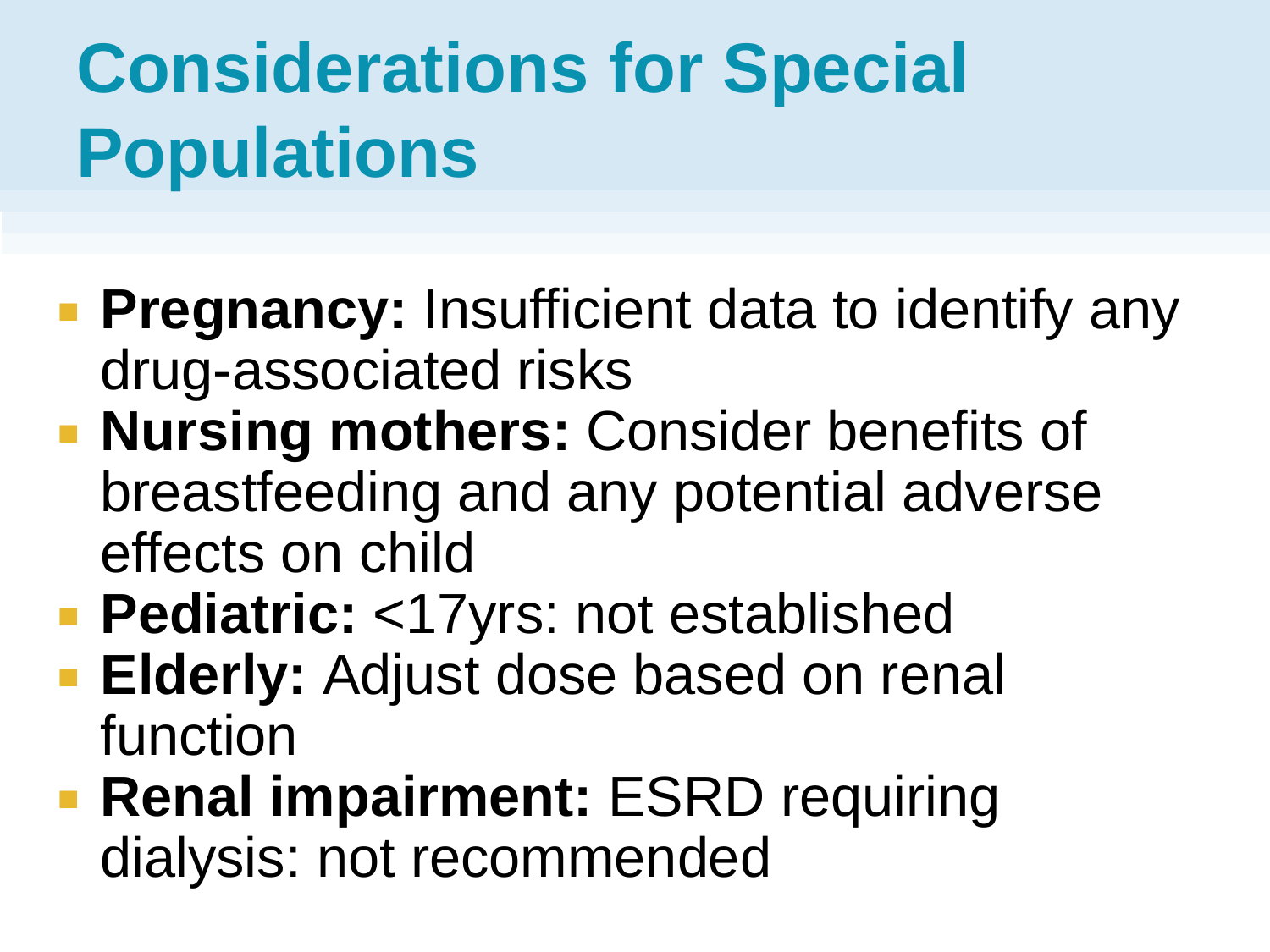# **Considerations for Special Populations**

- **Pregnancy:** Insufficient data to identify any drug-associated risks
- **Nursing mothers: Consider benefits of** breastfeeding and any potential adverse effects on child
- **Pediatric:** <17yrs: not established
- **Elderly: Adjust dose based on renal** function
- **Renal impairment: ESRD requiring** dialysis: not recommended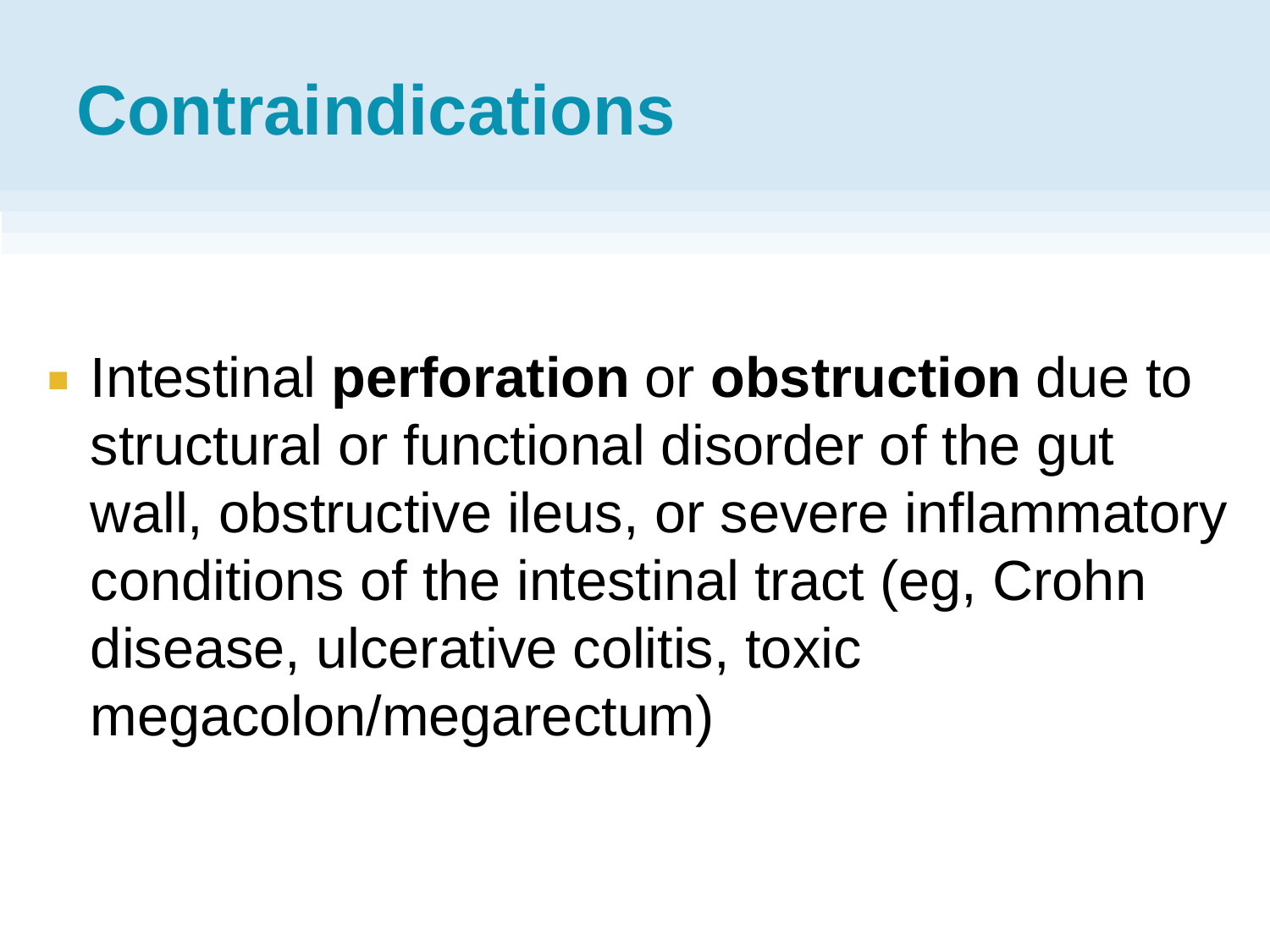# **Contraindications**

**Intestinal perforation** or **obstruction** due to structural or functional disorder of the gut wall, obstructive ileus, or severe inflammatory conditions of the intestinal tract (eg, Crohn disease, ulcerative colitis, toxic megacolon/megarectum)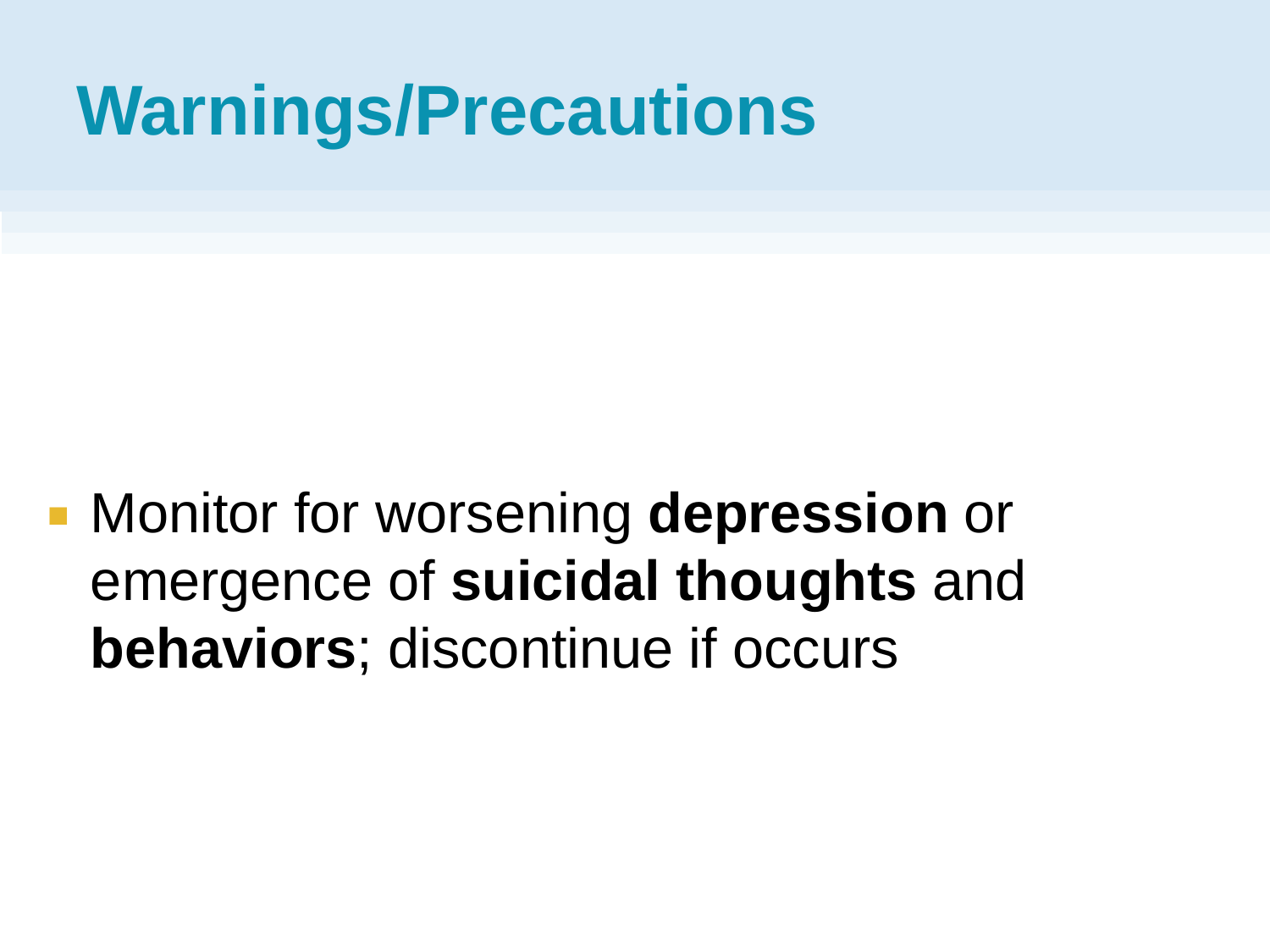### **Warnings/Precautions**

 Monitor for worsening **depression** or emergence of **suicidal thoughts** and **behaviors**; discontinue if occurs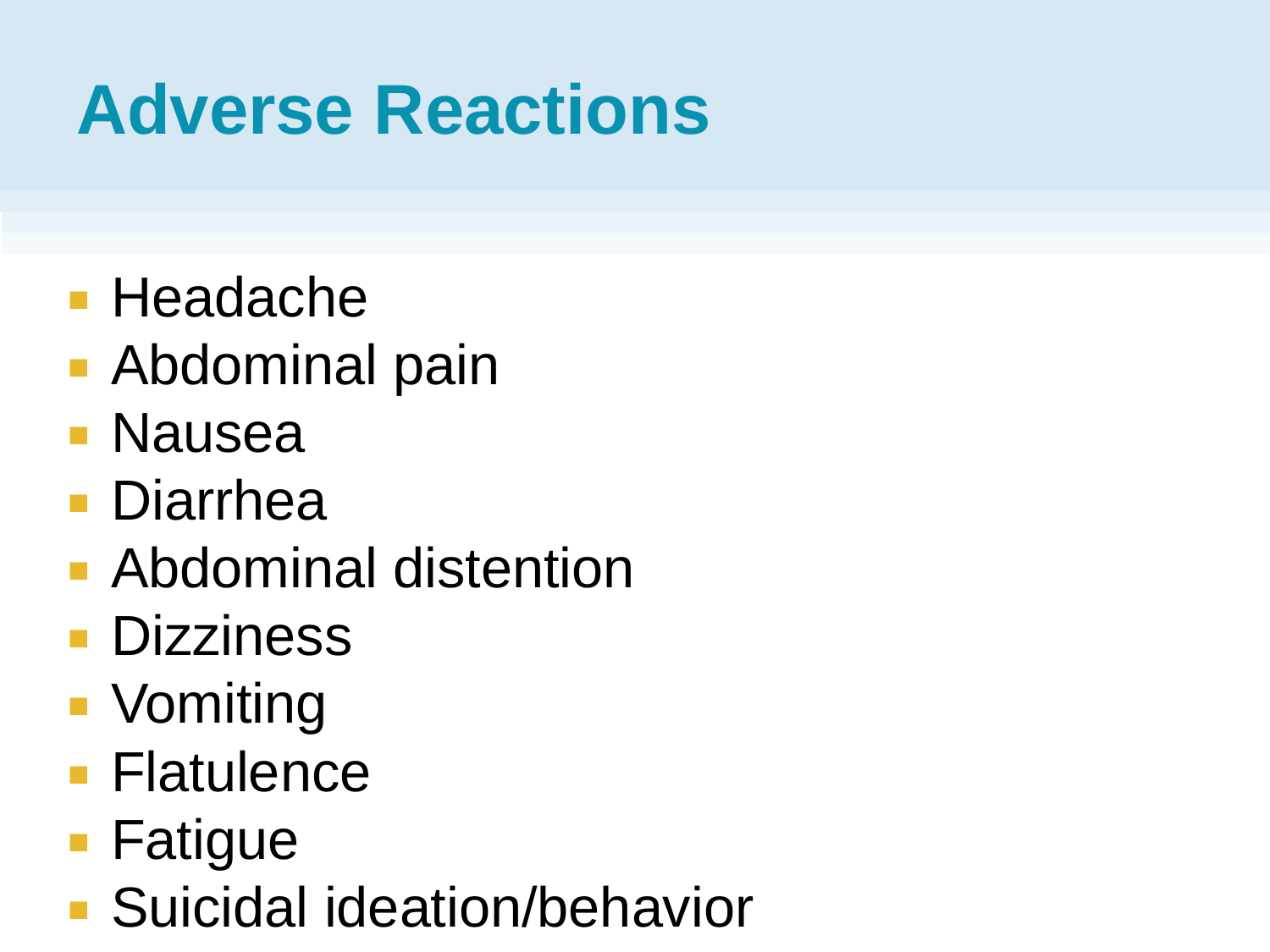# **Adverse Reactions**

- **Headache**
- Abdominal pain
- Nausea
- Diarrhea
- Abdominal distention
- **Dizziness**
- Vomiting
- **Flatulence**
- Fatigue
- Suicidal ideation/behavior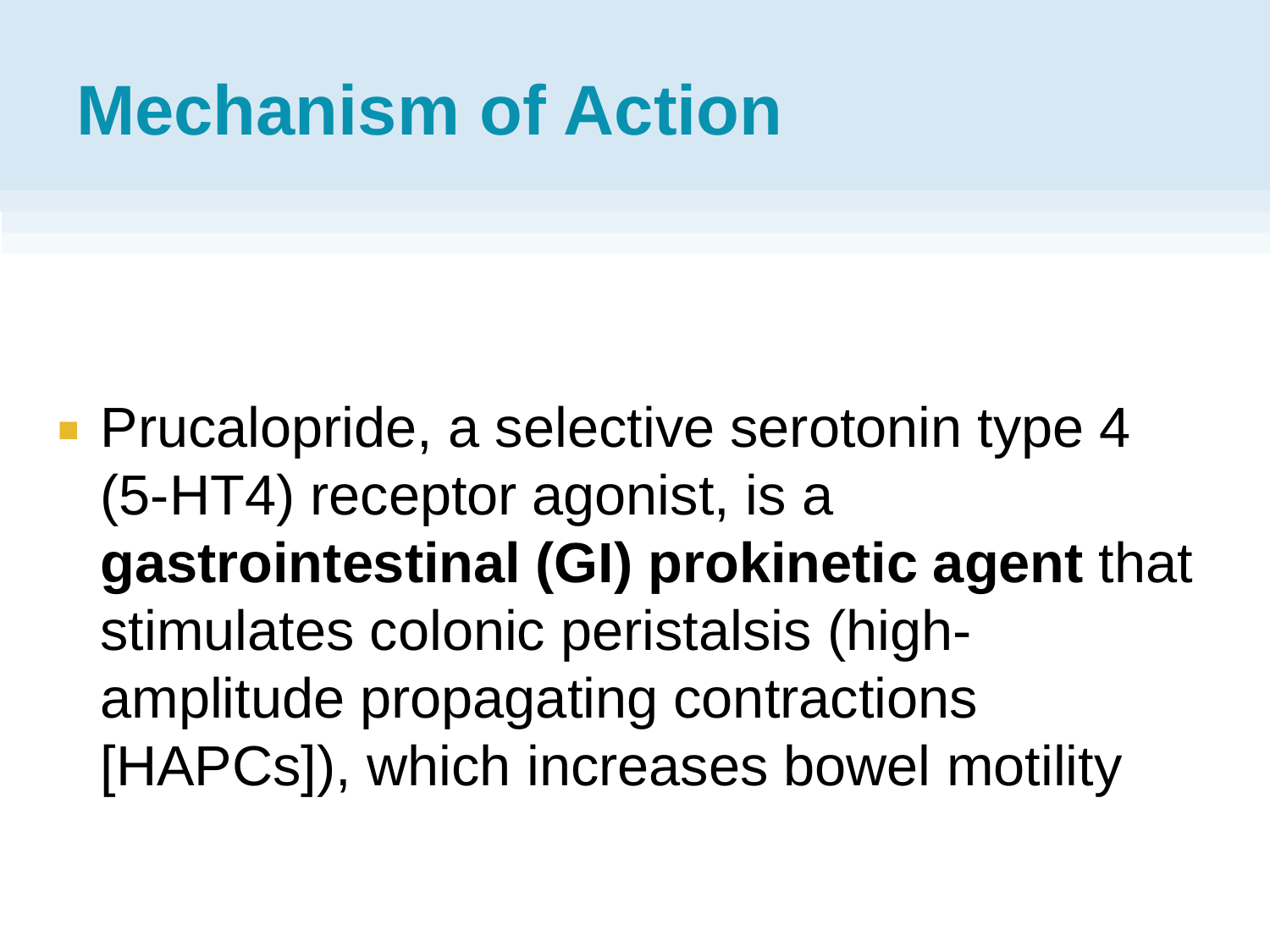# **Mechanism of Action**

**Prucalopride, a selective serotonin type 4** (5-HT4) receptor agonist, is a **gastrointestinal (GI) prokinetic agent** that stimulates colonic peristalsis (highamplitude propagating contractions [HAPCs]), which increases bowel motility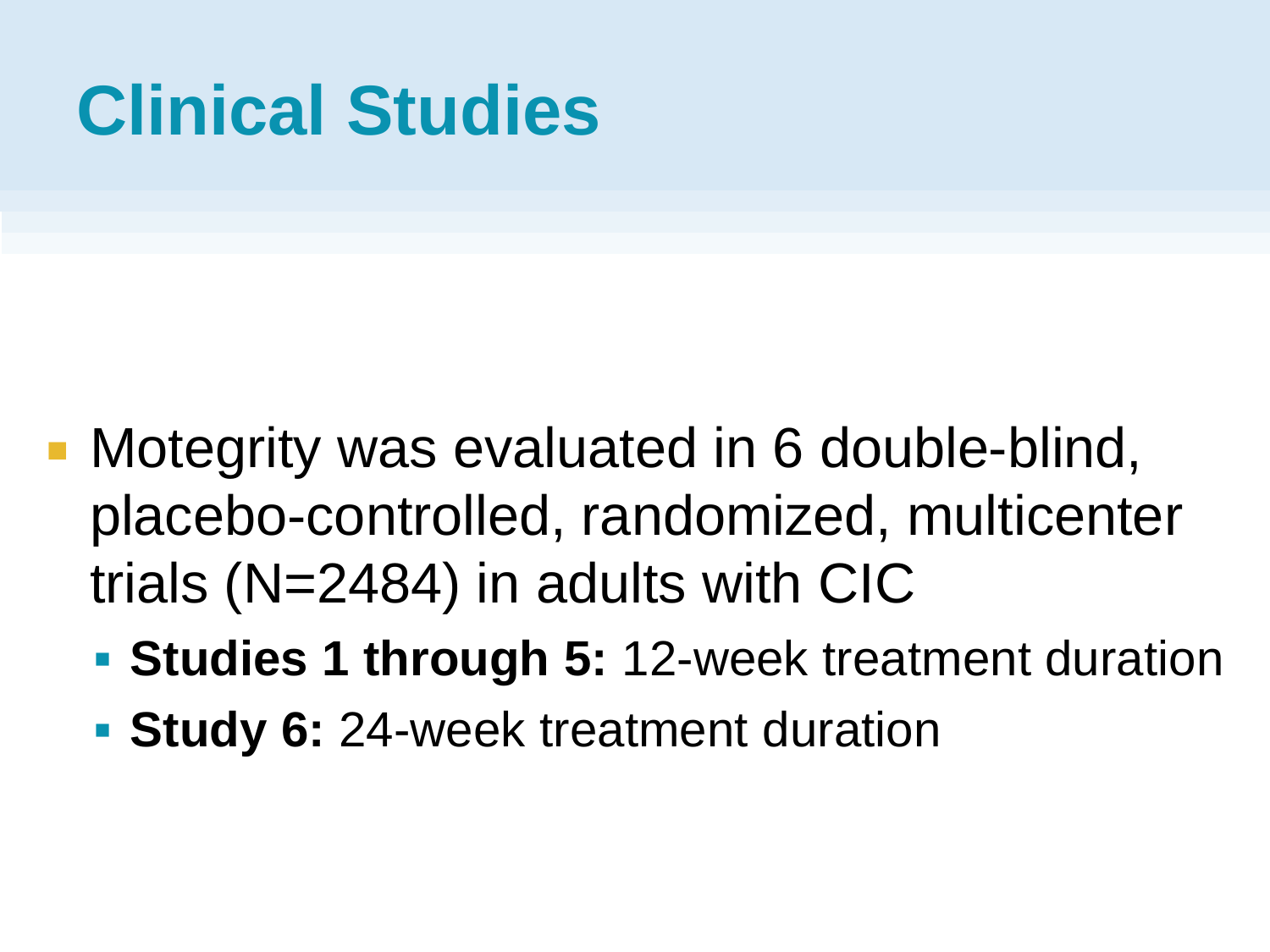- **Motegrity was evaluated in 6 double-blind,** placebo-controlled, randomized, multicenter trials (N=2484) in adults with CIC
	- **Studies 1 through 5: 12-week treatment duration**
	- **Study 6: 24-week treatment duration**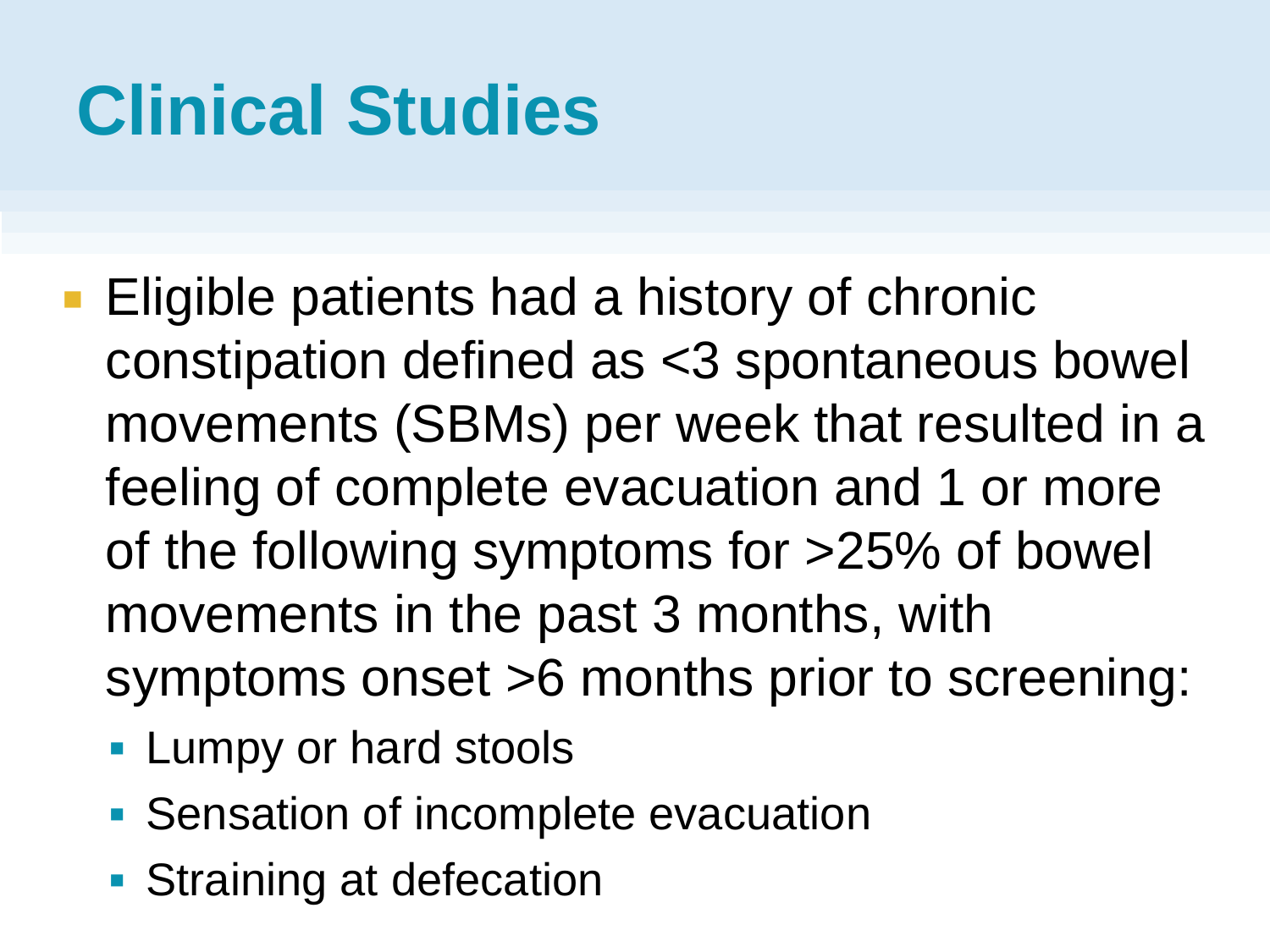- **Eligible patients had a history of chronic** constipation defined as <3 spontaneous bowel movements (SBMs) per week that resulted in a feeling of complete evacuation and 1 or more of the following symptoms for >25% of bowel movements in the past 3 months, with symptoms onset >6 months prior to screening:
	- **Lumpy or hard stools**
	- Sensation of incomplete evacuation
	- **Straining at defecation**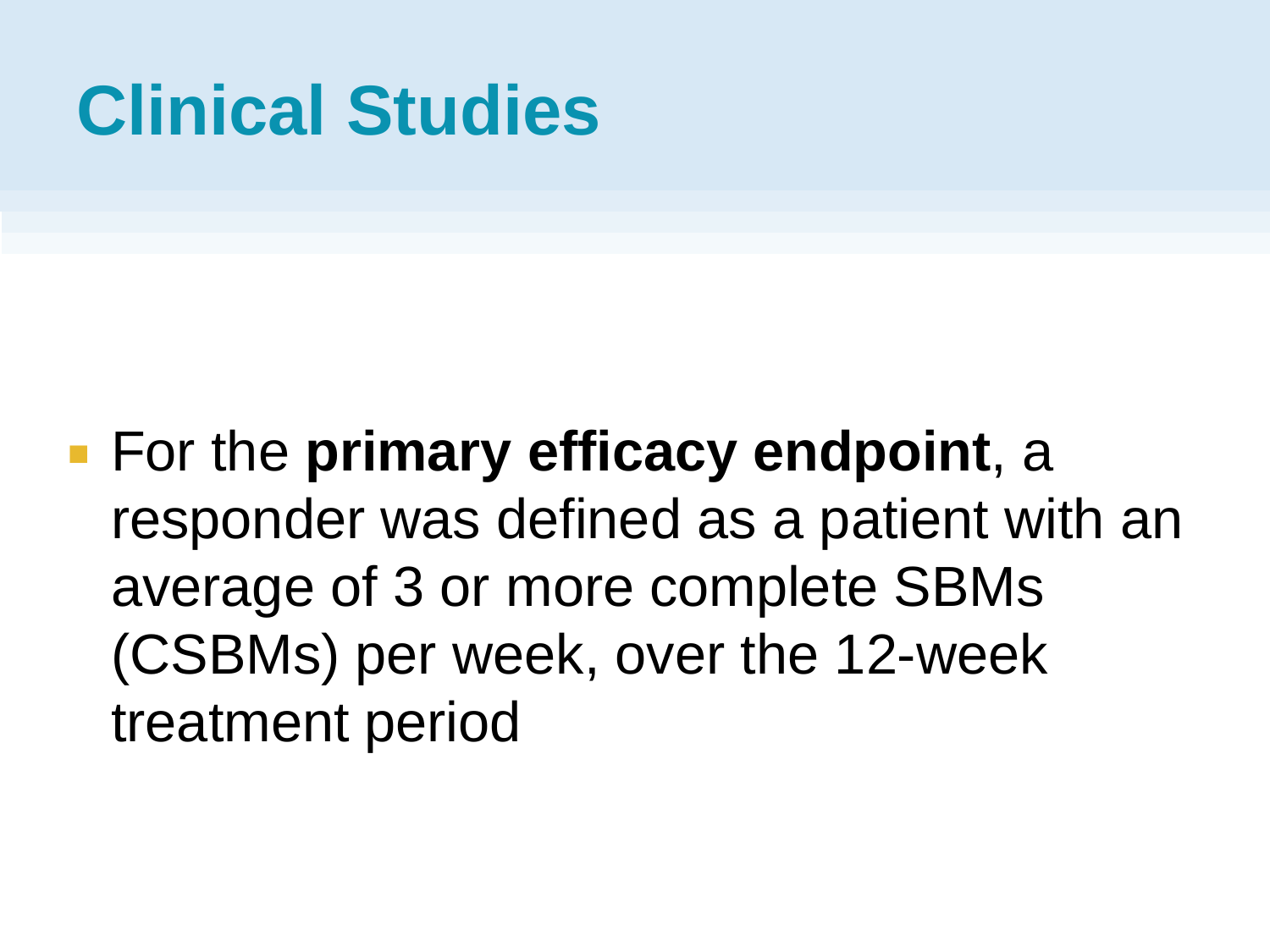**For the primary efficacy endpoint, a** responder was defined as a patient with an average of 3 or more complete SBMs (CSBMs) per week, over the 12-week treatment period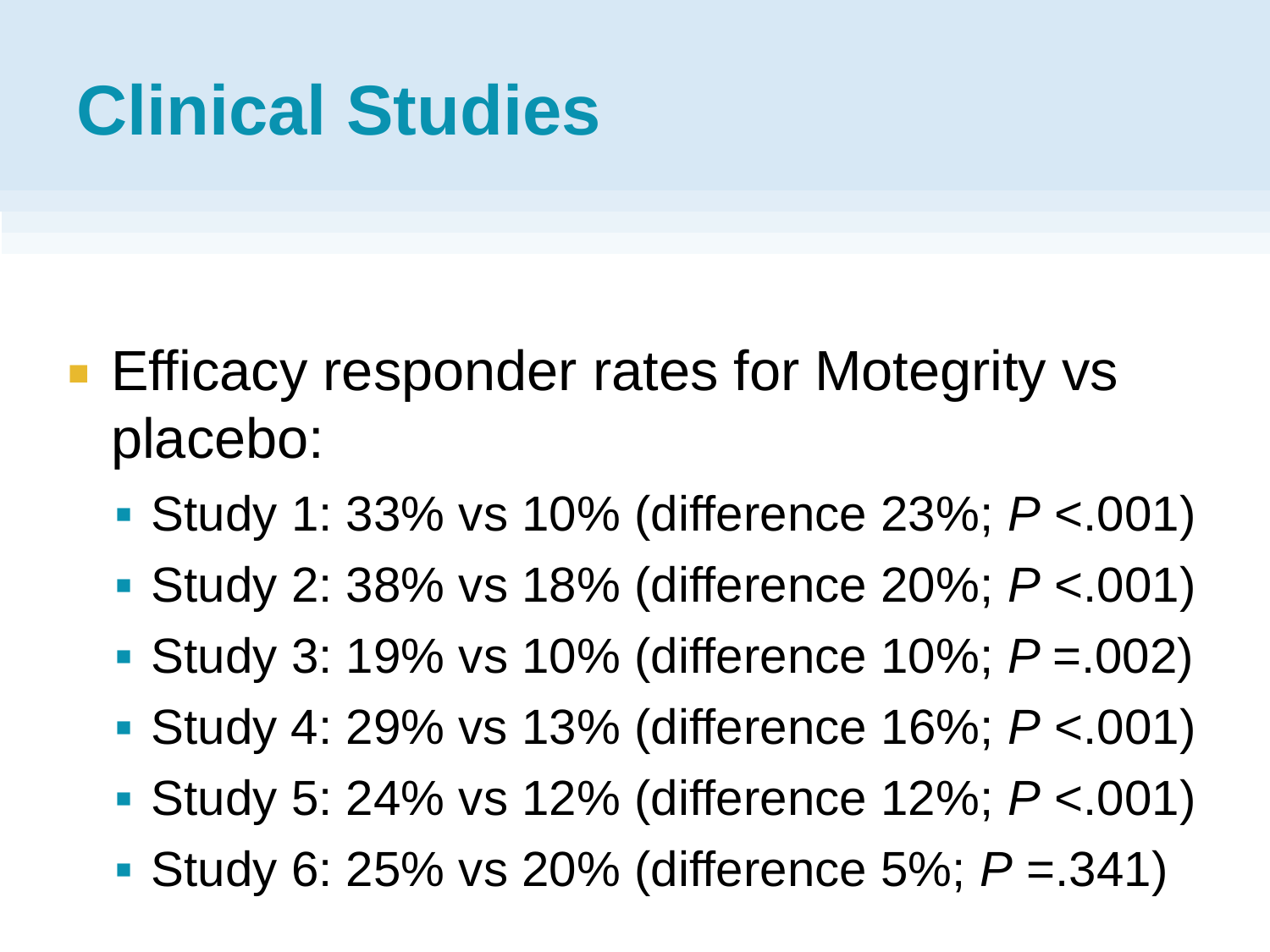- **Efficacy responder rates for Motegrity vs** placebo:
	- Study 1: 33% vs 10% (difference 23%; *P* <.001)
	- Study 2: 38% vs 18% (difference 20%; *P* <.001)
	- Study 3: 19% vs 10% (difference 10%; *P* =.002)
	- Study 4: 29% vs 13% (difference 16%; *P* <.001)
	- Study 5: 24% vs 12% (difference 12%; *P* <.001)
	- Study 6: 25% vs 20% (difference 5%; *P* =.341)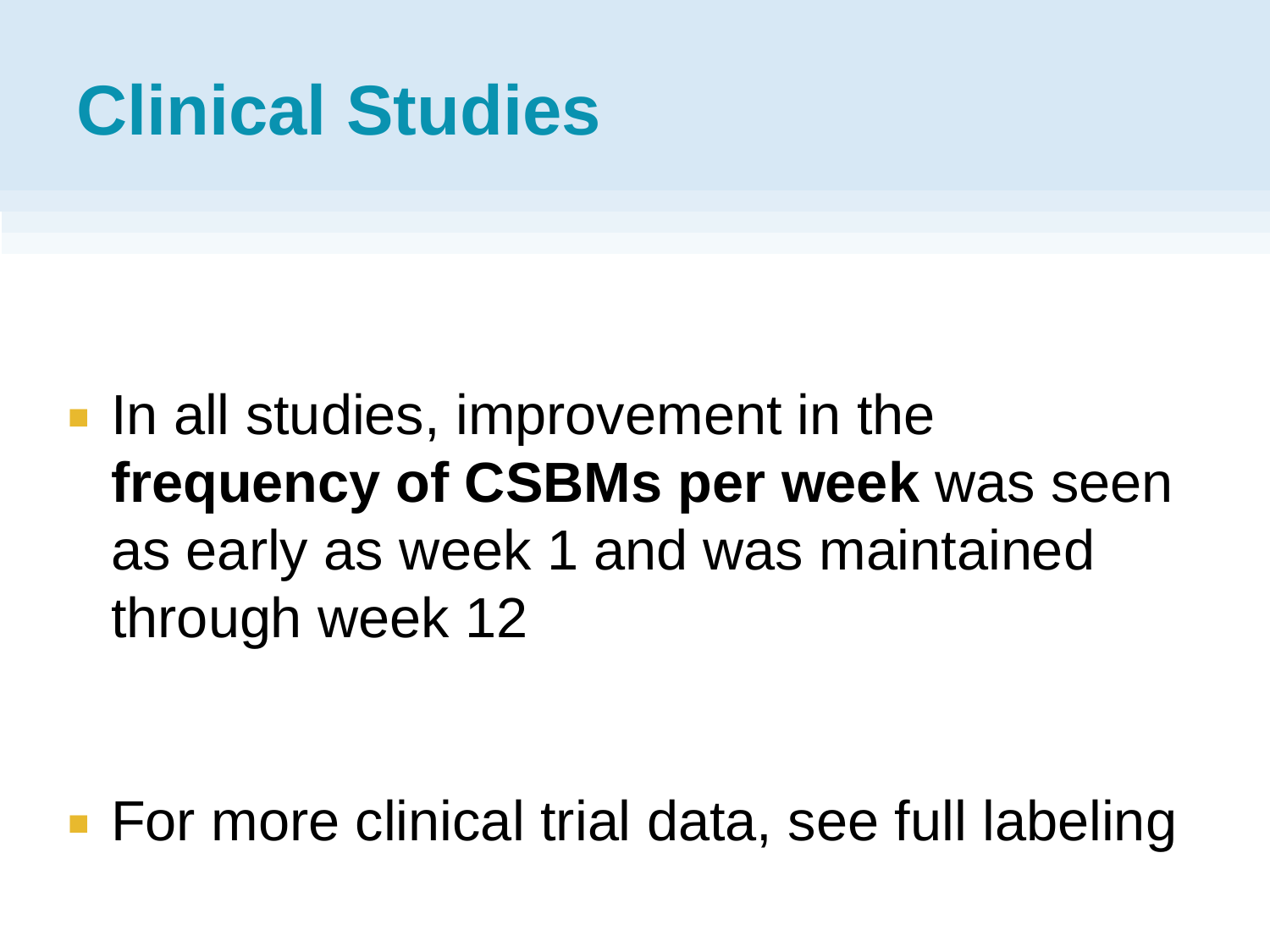**If** in all studies, improvement in the **frequency of CSBMs per week** was seen as early as week 1 and was maintained through week 12

■ For more clinical trial data, see full labeling